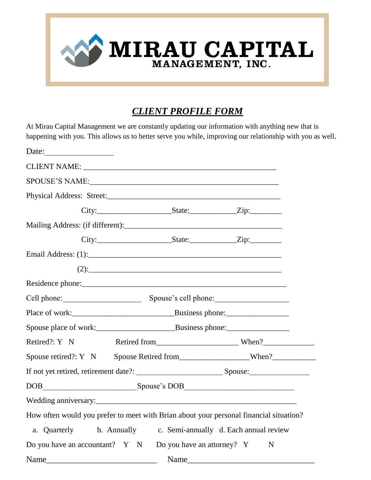

## *CLIENT PROFILE FORM*

At Mirau Capital Management we are constantly updating our information with anything new that is happening with you. This allows us to better serve you while, improving our relationship with you as well.

| Date:                                                                                                                                                                                                                                                                          |         |   |
|--------------------------------------------------------------------------------------------------------------------------------------------------------------------------------------------------------------------------------------------------------------------------------|---------|---|
|                                                                                                                                                                                                                                                                                |         |   |
|                                                                                                                                                                                                                                                                                |         |   |
|                                                                                                                                                                                                                                                                                |         |   |
|                                                                                                                                                                                                                                                                                |         |   |
|                                                                                                                                                                                                                                                                                |         |   |
|                                                                                                                                                                                                                                                                                |         |   |
|                                                                                                                                                                                                                                                                                |         |   |
|                                                                                                                                                                                                                                                                                | $(2)$ : |   |
|                                                                                                                                                                                                                                                                                |         |   |
| Cell phone: Spouse's cell phone: Spouse's cell phone:                                                                                                                                                                                                                          |         |   |
|                                                                                                                                                                                                                                                                                |         |   |
|                                                                                                                                                                                                                                                                                |         |   |
| Retired?: Y N                                                                                                                                                                                                                                                                  |         |   |
| Spouse retired?: Y N Spouse Retired from _________________When?__________________                                                                                                                                                                                              |         |   |
|                                                                                                                                                                                                                                                                                |         |   |
|                                                                                                                                                                                                                                                                                |         |   |
|                                                                                                                                                                                                                                                                                |         |   |
| How often would you prefer to meet with Brian about your personal financial situation?                                                                                                                                                                                         |         |   |
| a. Quarterly b. Annually c. Semi-annually d. Each annual review                                                                                                                                                                                                                |         |   |
| Do you have an accountant? Y N Do you have an attorney? Y                                                                                                                                                                                                                      |         | N |
| $Name_1$ and $Name_2$ and $Name_3$ and $Name_4$ and $Name_5$ and $Name_6$ and $Name_7$ and $Name_8$ and $Name_7$ and $Name_8$ and $Name_9$ and $Name_9$ and $Name_9$ and $Name_9$ and $Name_9$ and $Name_9$ and $Name_9$ and $E_9$ and $E_9$ and $E_9$ and $E_9$ and $E_9$ and |         |   |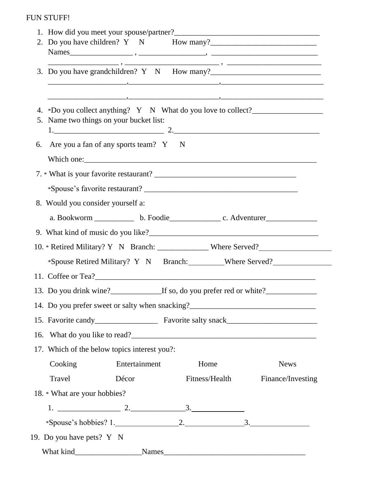## FUN STUFF!

| 2. Do you have children? Y N How many?                                                                                      |  |
|-----------------------------------------------------------------------------------------------------------------------------|--|
|                                                                                                                             |  |
|                                                                                                                             |  |
|                                                                                                                             |  |
|                                                                                                                             |  |
| 4. *Do you collect anything? Y N What do you love to collect?___________________<br>5. Name two things on your bucket list: |  |
|                                                                                                                             |  |
| 6. Are you a fan of any sports team? Y N                                                                                    |  |
|                                                                                                                             |  |
|                                                                                                                             |  |
|                                                                                                                             |  |
| 8. Would you consider yourself a:                                                                                           |  |
|                                                                                                                             |  |
|                                                                                                                             |  |
| 10. * Retired Military? Y N Branch: ________________ Where Served?                                                          |  |
| *Spouse Retired Military? Y N Branch: Where Served?                                                                         |  |
|                                                                                                                             |  |
| 13. Do you drink wine?<br>If so, do you prefer red or white?<br><u>If so, do you prefer red or white?</u>                   |  |
| 14. Do you prefer sweet or salty when snacking?_________________________________                                            |  |
|                                                                                                                             |  |
|                                                                                                                             |  |
| 17. Which of the below topics interest you?:                                                                                |  |
| Entertainment<br>Cooking<br>Home<br><b>News</b>                                                                             |  |
| Travel<br>Décor<br>Fitness/Health<br>Finance/Investing                                                                      |  |
| 18. * What are your hobbies?                                                                                                |  |
|                                                                                                                             |  |
|                                                                                                                             |  |
| 19. Do you have pets? Y N                                                                                                   |  |
|                                                                                                                             |  |